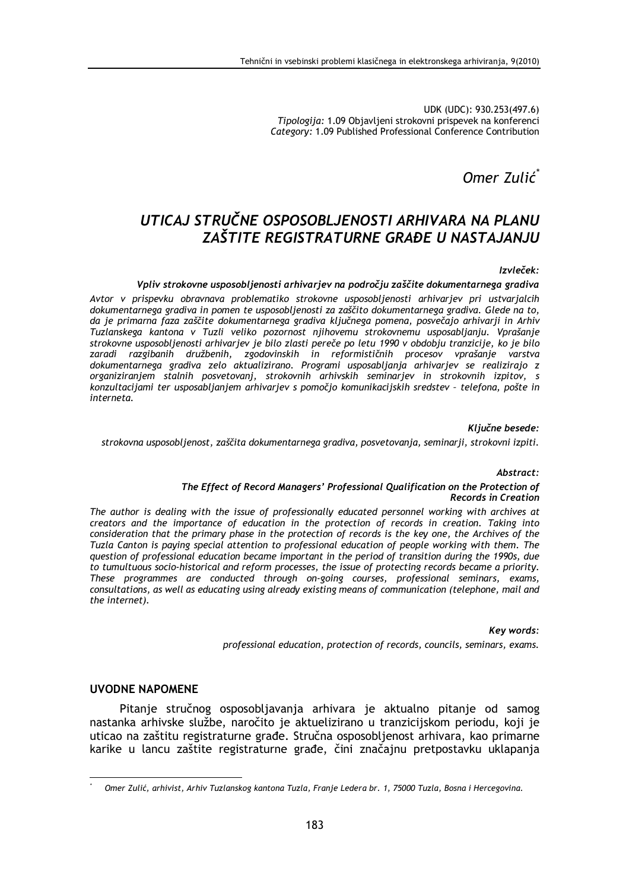UDK (UDC): 930.253(497.6) Tipologija: 1.09 Objavljeni strokovni prispevek na konferenci Category: 1.09 Published Professional Conference Contribution

Omer Zulić<sup>\*</sup>

# UTICAJ STRUČNE OSPOSOBLJENOSTI ARHIVARA NA PLANU ZAŠTITE REGISTRATIJRNE GRAĐE IJ NASTAJANJIJ

### Izvleček:

#### Vpliv strokovne usposoblienosti arhivariev na področiu zaščite dokumentarnega gradiva

Avtor v prispevku obravnava problematiko strokovne usposobljenosti arhivarjev pri ustvarjalcih dokumentarnega gradiva in pomen te usposobljenosti za zaščito dokumentarnega gradiva. Glede na to, da je primarna faza zaščite dokumentarnega gradiva ključnega pomena, posvečajo arhivarij in Arhiv Tuzlanskega kantona v Tuzli veliko pozornost njihovemu strokovnemu usposabljanju. Vprašanje strokovne usposobljenosti arhivarjev je bilo zlasti pereče po letu 1990 v obdobju tranzicije, ko je bilo zaradi razgibanih družbenih, zgodovinskih in reformističnih procesov vprašanje varstva dokumentarnega gradiva zelo aktualizirano. Programi usposabljanja arhivarjev se realizirajo z organiziranjem stalnih posvetovanj, strokovnih arhivskih seminarjev in strokovnih izpitov, s konzultacijami ter usposabljanjem arhivarjev s pomočjo komunikacijskih sredstev - telefona, pošte in interneta.

#### Ključne besede:

#### strokovna usposobljenost, zaščita dokumentarnega gradiva, posvetovanja, seminarji, strokovni izpiti.

#### Abstract:

#### The Effect of Record Managers' Professional Qualification on the Protection of **Records in Creation**

The author is dealing with the issue of professionally educated personnel working with archives at creators and the importance of education in the protection of records in creation. Taking into consideration that the primary phase in the protection of records is the key one, the Archives of the Tuzla Canton is paying special attention to professional education of people working with them. The question of professional education became important in the period of transition during the 1990s, due to tumultuous socio-historical and reform processes, the issue of protecting records became a priority. These programmes are conducted through on-going courses, professional seminars, exams, consultations, as well as educating using already existing means of communication (telephone, mail and the internet).

Key words:

professional education, protection of records, councils, seminars, exams.

# **UVODNE NAPOMENE**

Pitanje stručnog osposobljavanja arhivara je aktualno pitanje od samog nastanka arhivske službe, naročito je aktuelizirano u tranzicijskom periodu, koji je uticao na zaštitu registraturne građe. Stručna osposobljenost arhivara, kao primarne karike u lancu zaštite registraturne građe, čini značajnu pretpostavku uklapanja

Omer Zulić, arhivist, Arhiv Tuzlanskog kantona Tuzla, Franje Ledera br. 1, 75000 Tuzla, Bosna i Hercegovina.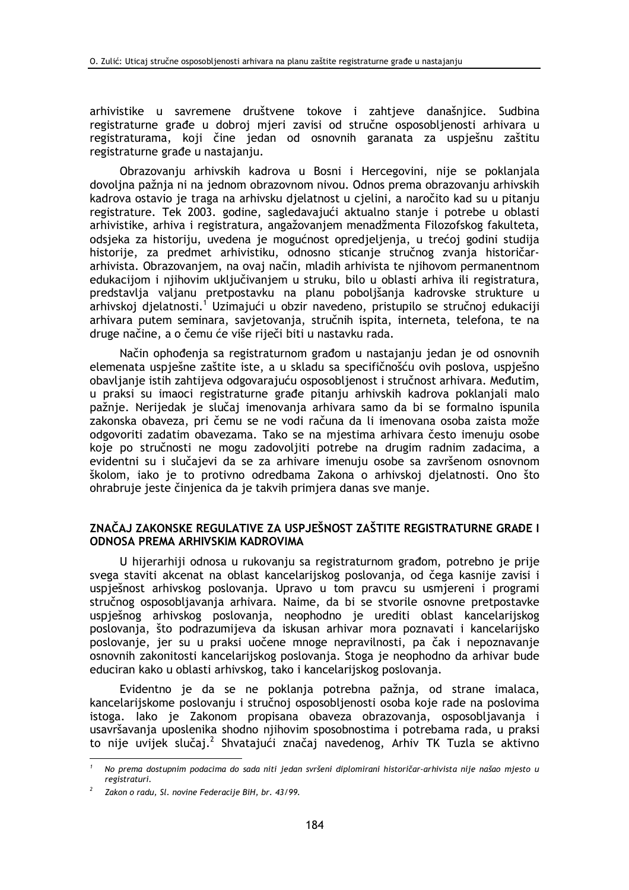arhivistike u savremene društvene tokove i zahtjeve današnjice. Sudbina registraturne građe u dobroj mjeri zavisi od stručne osposobljenosti arhivara u registraturama, koji čine jedan od osnovnih garanata za uspješnu zaštitu registraturne građe u nastajanju.

Obrazovanju arhivskih kadrova u Bosni i Hercegovini, nije se poklanjala dovoljna pažnja ni na jednom obrazovnom nivou. Odnos prema obrazovanju arhivskih kadrova ostavio je traga na arhivsku djelatnost u cjelini, a naročito kad su u pitanju registrature. Tek 2003. godine, sagledavajući aktualno stanje i potrebe u oblasti arhivistike, arhiva i registratura, angažovanjem menadžmenta Filozofskog fakulteta, odsjeka za historiju, uvedena je mogućnost opredjeljenja, u trećoj godini studija historije, za predmet arhivistiku, odnosno sticanje stručnog zvanja historičararhivista. Obrazovanjem, na ovaj način, mladih arhivista te njihovom permanentnom edukacijom i njihovim uključivanjem u struku, bilo u oblasti arhiva ili registratura, predstavlja valjanu pretpostavku na planu poboljšanja kadrovske strukture u arhivskoj dielatnosti.<sup>1</sup> Uzimajući u obzir navedeno, pristupilo se stručnoj edukaciji arhivara putem seminara, savietovania, stručnih ispita, interneta, telefona, te na druge načine, a o čemu će više riječi biti u nastavku rada.

Način ophođenja sa registraturnom građom u nastajanju jedan je od osnovnih elemenata uspješne zaštite iste, a u skladu sa specifičnošću ovih poslova, uspješno obavljanje istih zahtijeva odgovarajuću osposobljenost i stručnost arhivara. Međutim, u praksi su imaoci registraturne građe pitanju arhivskih kadrova poklanjali malo pažnje. Nerijedak je slučaj imenovanja arhivara samo da bi se formalno ispunila zakonska obaveza, pri čemu se ne vodi računa da li imenovana osoba zaista može odgovoriti zadatim obavezama. Tako se na miestima arhivara često imenuju osobe koje po stručnosti ne mogu zadovolijti potrebe na drugim radnim zadacima, a evidentni su i slučajevi da se za arhivare imenuju osobe sa završenom osnovnom školom, iako je to protivno odredbama Zakona o arhivskoj djelatnosti. Ono što ohrabruje jeste činjenica da je takvih primjera danas sve manje.

# ZNAČAJ ZAKONSKE REGULATIVE ZA USPJEŠNOST ZAŠTITE REGISTRATURNE GRAĐE I ODNOSA PREMA ARHIVSKIM KADROVIMA

U hijerarhiji odnosa u rukovanju sa registraturnom građom, potrebno je prije svega staviti akcenat na oblast kancelarijskog poslovanja, od čega kasnije zavisi i uspješnost arhivskog poslovanja. Upravo u tom pravcu su usmjereni i programi stručnog osposobljavanja arhivara. Naime, da bi se stvorile osnovne pretpostavke uspješnog arhivskog poslovanja, neophodno je urediti oblast kancelarijskog poslovanja, što podrazumijeva da iskusan arhivar mora poznavati i kancelarijsko poslovanje, jer su u praksi uočene mnoge nepravilnosti, pa čak i nepoznavanje osnovnih zakonitosti kancelarijskog poslovanja. Stoga je neophodno da arhivar bude educiran kako u oblasti arhivskog, tako i kancelarijskog poslovanja.

Evidentno je da se ne poklanja potrebna pažnja, od strane imalaca, kancelarijskome poslovanju i stručnoj osposobljenosti osoba koje rade na poslovima istoga. Iako je Zakonom propisana obaveza obrazovanja, osposobljavanja i usavršavanja uposlenika shodno njihovim sposobnostima i potrebama rada, u praksi to nije uvijek slučaj.<sup>2</sup> Shvatajući značaj navedenog, Arhiv TK Tuzla se aktivno

No prema dostupnim podacima do sada niti jedan svršeni diplomirani historičar-arhivista nije našao mjesto u registraturi.

Zakon o radu, Sl. novine Federacije BiH, br. 43/99.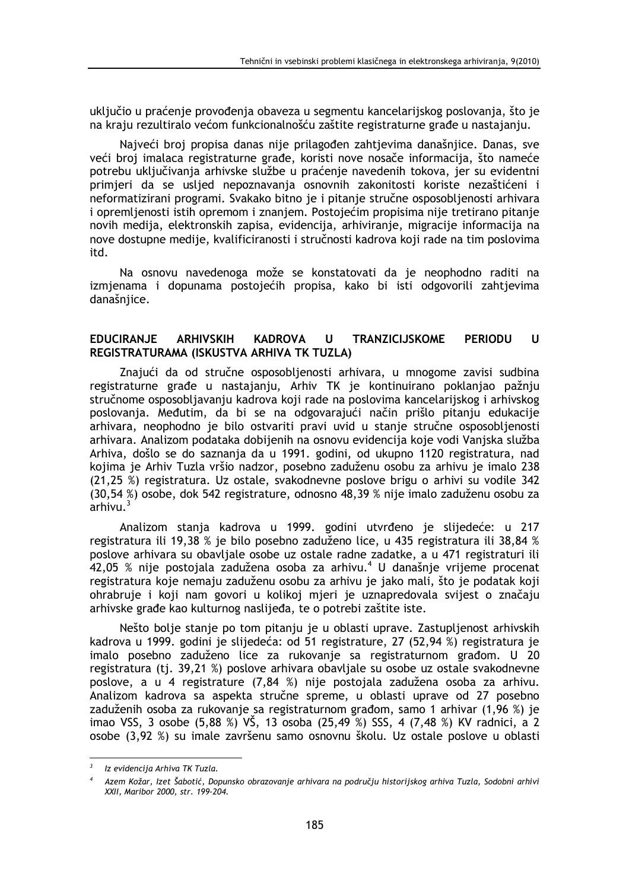uključio u praćenje provođenja obaveza u segmentu kancelarijskog poslovanja, što je na kraju rezultiralo većom funkcionalnošću zaštite registraturne građe u nastajanju.

Najveći broj propisa danas nije prilagođen zahtjevima današnjice. Danas, sve veći broj imalaca registraturne građe, koristi nove nosače informacija, što nameće potrebu uključivanja arhivske službe u praćenje navedenih tokova, jer su evidentni primjeri da se usljed nepoznavanja osnovnih zakonitosti koriste nezaštićeni i neformatizirani programi. Svakako bitno je i pitanje stručne osposobljenosti arhivara i opremljenosti istih opremom i znanjem. Postojećim propisima nije tretirano pitanje novih medija, elektronskih zapisa, evidencija, arhiviranje, migracije informacija na nove dostupne medije, kvalificiranosti i stručnosti kadrova koji rade na tim poslovima itd.

Na osnovu navedenoga može se konstatovati da je neophodno raditi na izmjenama i dopunama postojećih propisa, kako bi isti odgovorili zahtjevima današnjice.

#### **ARHIVSKIH TRANZICIJSKOME PERIODU EDUCIRANJE KADROVA**  $\mathbf{U}$  $\mathbf{U}$ REGISTRATURAMA (ISKUSTVA ARHIVA TK TUZLA)

Znajući da od stručne osposobljenosti arhivara, u mnogome zavisi sudbina registraturne građe u nastajanju, Arhiv TK je kontinuirano poklanjao pažnju stručnome osposobliavaniu kadrova koji rade na poslovima kancelarijskog i arhivskog poslovanja. Međutim, da bi se na odgovarajući način prišlo pitanju edukacije arhivara, neophodno je bilo ostvariti pravi uvid u stanje stručne osposobljenosti arhivara. Analizom podataka dobijenih na osnovu evidencija koje vodi Vanjska služba Arhiva, došlo se do saznanja da u 1991. godini, od ukupno 1120 registratura, nad kojima je Arhiv Tuzla vršio nadzor, posebno zaduženu osobu za arhivu je imalo 238 (21.25 %) registratura. Uz ostale, svakodnevne poslove brigu o arhivi su vodile 342 (30.54 %) osobe, dok 542 registrature, odnosno 48.39 % nije imalo zaduženu osobu za  $\int$ arhivu $^3$ 

Analizom stanja kadrova u 1999. godini utvrđeno je slijedeće: u 217 registratura ili 19,38 % je bilo posebno zaduženo lice, u 435 registratura ili 38,84 % poslove arhivara su obavljale osobe uz ostale radne zadatke, a u 471 registraturi ili 42,05 % nije postojala zadužena osoba za arhivu.<sup>4</sup> U današnje vrijeme procenat registratura koje nemaju zaduženu osobu za arhivu je jako mali, što je podatak koji ohrabruje i koji nam govori u kolikoj mjeri je uznapredovala svijest o značaju arhivske građe kao kulturnog naslijeđa, te o potrebi zaštite iste.

Nešto bolje stanje po tom pitanju je u oblasti uprave. Zastupljenost arhivskih kadrova u 1999. godini je slijedeća: od 51 registrature, 27 (52,94 %) registratura je imalo posebno zaduženo lice za rukovanje sa registraturnom građom. U 20 registratura (tj. 39,21 %) poslove arhivara obavljale su osobe uz ostale svakodnevne poslove, a u 4 registrature (7,84 %) nije postojala zadužena osoba za arhivu. Analizom kadrova sa aspekta stručne spreme, u oblasti uprave od 27 posebno zaduženih osoba za rukovanje sa registraturnom građom, samo 1 arhivar (1,96 %) je imao VSS, 3 osobe (5,88 %) VŠ, 13 osoba (25,49 %) SSS, 4 (7,48 %) KV radnici, a 2 osobe (3,92 %) su imale završenu samo osnovnu školu. Uz ostale poslove u oblasti

 $\overline{3}$ Iz evidencija Arhiva TK Tuzla.

Azem Kožar, Izet Šabotić, Dopunsko obrazovanje arhivara na području historijskog arhiva Tuzla, Sodobni arhivi XXII, Maribor 2000, str. 199-204.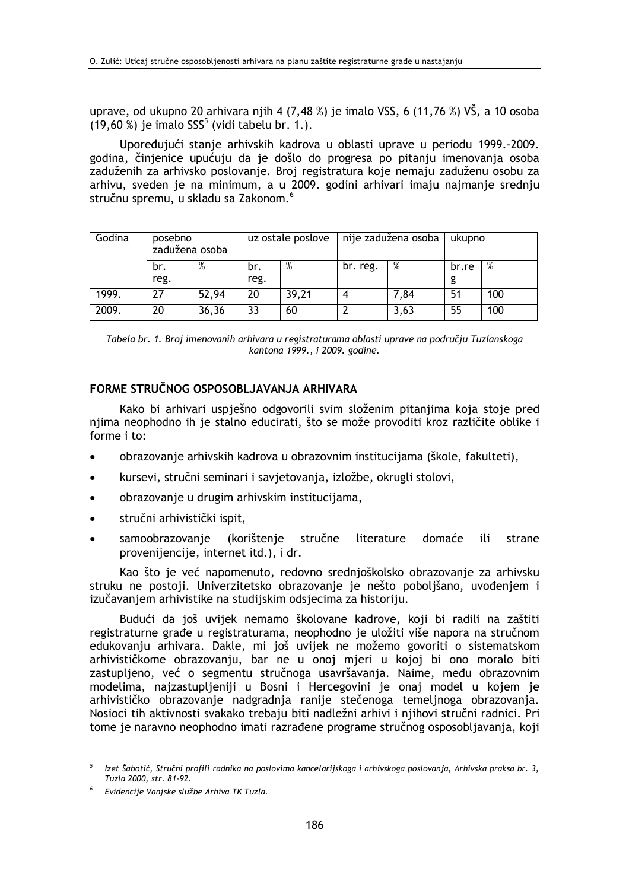uprave, od ukupno 20 arhivara njih 4 (7,48 %) je imalo VSS, 6 (11,76 %) VŠ, a 10 osoba  $(19,60\%)$  je imalo SSS<sup>5</sup> (vidi tabelu br. 1.).

Upoređujući stanje arhivskih kadrova u oblasti uprave u periodu 1999.-2009. godina, činjenice upućuju da je došlo do progresa po pitanju imenovanja osoba zaduženih za arhivsko poslovanje. Broj registratura koje nemaju zaduženu osobu za arhivu, sveden je na minimum, a u 2009. godini arhivari imaju najmanje srednju stručnu spremu, u skladu sa Zakonom.<sup>6</sup>

| Godina | posebno<br>zadužena osoba |       | uz ostale poslove |       | nije zadužena osoba |      | ukupno |     |
|--------|---------------------------|-------|-------------------|-------|---------------------|------|--------|-----|
|        | br.                       | %     | br.               | %     | br. reg.            | %    | br.re  | %   |
|        | reg.                      |       | reg.              |       |                     |      | g      |     |
| 1999.  |                           | 52,94 | 20                | 39,21 |                     | 7,84 | 51     | 100 |
| 2009.  | 20                        | 36,36 | 33                | 60    |                     | 3,63 | 55     | 100 |

Tabela br. 1. Broj imenovanih arhivara u registraturama oblasti uprave na području Tuzlanskoga kantona 1999., i 2009. godine.

# FORME STRUČNOG OSPOSOBLJAVANJA ARHIVARA

Kako bi arhivari uspješno odgovorili svim složenim pitanjima koja stoje pred njima neophodno ih je stalno educirati, što se može provoditi kroz različite oblike i forme i to:

- obrazovanje arhivskih kadrova u obrazovnim institucijama (škole, fakulteti),
- kursevi, stručni seminari i savjetovanja, izložbe, okrugli stolovi,
- obrazovanie u drugim arhivskim institucijama,
- stručni arhivistički ispit,  $\bullet$
- samoobrazovanie (korištenje stručne literature domaće ili strane provenijencije, internet itd.), i dr.

Kao što je već napomenuto, redovno srednjoškolsko obrazovanje za arhivsku struku ne postoji. Univerzitetsko obrazovanje je nešto pobolišano, uvođenjem i izučavanjem arhivistike na studijskim odsjecima za historiju.

Budući da još uvijek nemamo školovane kadrove, koji bi radili na zaštiti registraturne građe u registraturama, neophodno je uložiti više napora na stručnom edukovanju arhivara. Dakle, mi još uvijek ne možemo govoriti o sistematskom arhivističkome obrazovanju, bar ne u onoj mjeri u kojoj bi ono moralo biti zastupljeno, već o segmentu stručnoga usavršavanja. Naime, među obrazovnim modelima, najzastupljeniji u Bosni i Hercegovini je onaj model u kojem je arhivističko obrazovanje nadgradnja ranije stečenoga temeljnoga obrazovanja. Nosioci tih aktivnosti svakako trebaju biti nadležni arhivi i njihovi stručni radnici. Pri tome je naravno neophodno imati razrađene programe stručnog osposobljavanja, koji

Izet Šabotić, Stručni profili radnika na poslovima kancelarijskoga i arhivskoga poslovanja, Arhivska praksa br. 3, Tuzla 2000, str. 81-92.

Evidencije Vanjske službe Arhiva TK Tuzla.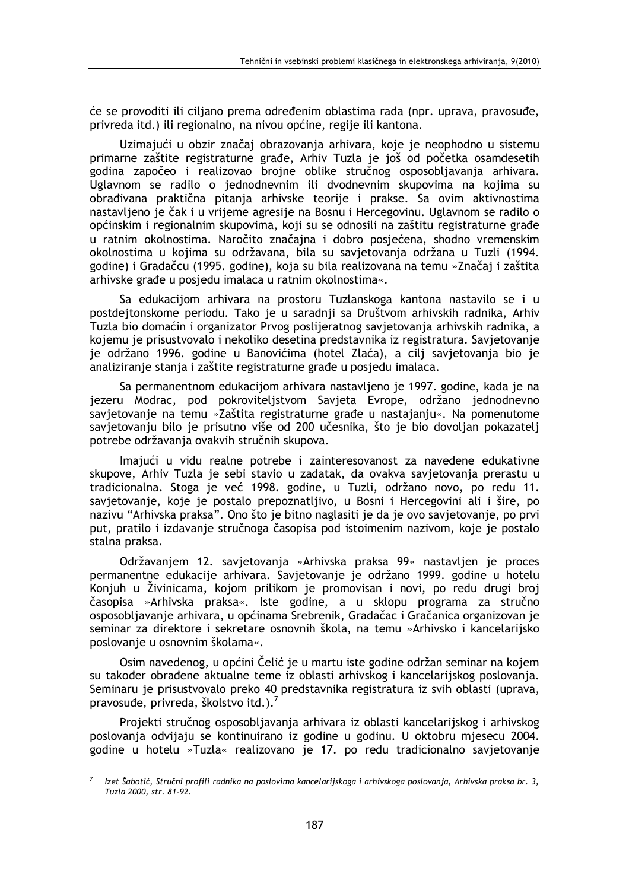će se provoditi ili ciljano prema određenim oblastima rada (npr. uprava, pravosuđe, privreda itd.) ili regionalno, na nivou općine, regije ili kantona.

Uzimajući u obzir značaj obrazovanja arhivara, koje je neophodno u sistemu primarne zaštite registraturne građe, Arhiv Tuzla je još od početka osamdesetih godina započeo i realizovao brojne oblike stručnog osposobljavanja arhivara. Uglavnom se radilo o jednodnevnim ili dvodnevnim skupovima na kojima su obrađivana praktična pitanja arhivske teorije i prakse. Sa ovim aktivnostima nastavljeno je čak i u vrijeme agresije na Bosnu i Hercegovinu. Uglavnom se radilo o općinskim i regionalnim skupovima, koji su se odnosili na zaštitu registraturne građe u ratnim okolnostima. Naročito značajna i dobro posjećena, shodno vremenskim okolnostima u kojima su održavana, bila su savjetovanja održana u Tuzli (1994. godine) i Gradačcu (1995. godine), koja su bila realizovana na temu »Značaj i zaštita arhivske građe u posjedu imalaca u ratnim okolnostima«.

Sa edukacijom arhivara na prostoru Tuzlanskoga kantona nastavilo se i u postdejtonskome periodu. Tako je u saradnji sa Društvom arhivskih radnika, Arhiv Tuzla bio domaćin i organizator Prvog poslijeratnog savjetovanja arhivskih radnika, a kojemu je prisustvovalo i nekoliko desetina predstavnika iz registratura. Savjetovanje je održano 1996. godine u Banovićima (hotel Zlaća), a cilj savjetovanja bio je analiziranje stanja i zaštite registraturne građe u posjedu imalaca.

Sa permanentnom edukacijom arhivara nastavljeno je 1997. godine, kada je na jezeru Modrac, pod pokrovitelistvom Savieta Evrope, održano jednodnevno savjetovanje na temu »Zaštita registraturne građe u nastajanju«. Na pomenutome savjetovanju bilo je prisutno više od 200 učesnika, što je bio dovoljan pokazatelj potrebe održavanja ovakvih stručnih skupova.

Imajući u vidu realne potrebe i zainteresovanost za navedene edukativne skupove, Arhiv Tuzla je sebi stavio u zadatak, da ovakva savjetovanja prerastu u tradicionalna. Stoga je već 1998. godine, u Tuzli, održano novo, po redu 11. savjetovanje, koje je postalo prepoznatljivo, u Bosni i Hercegovini ali i šire, po nazivu "Arhivska praksa". Ono što je bitno naglasiti je da je ovo savjetovanje, po prvi put, pratilo i izdavanje stručnoga časopisa pod istoimenim nazivom, koje je postalo stalna praksa.

Održavaniem 12. savietovania »Arhivska praksa 99« nastavlien je proces permanentne edukacije arhivara. Savjetovanje je održano 1999. godine u hotelu Konjuh u Živinicama, kojom prilikom je promovisan i novi, po redu drugi broj časopisa »Arhivska praksa«. Iste godine, a u sklopu programa za stručno osposobljavanje arhivara, u općinama Srebrenik, Gradačac i Gračanica organizovan je seminar za direktore i sekretare osnovnih škola, na temu »Arhivsko i kancelarijsko poslovanje u osnovnim školama«.

Osim navedenog, u općini Čelić je u martu iste godine održan seminar na kojem su također obrađene aktualne teme iz oblasti arhivskog i kancelarijskog poslovanja. Seminaru je prisustvovalo preko 40 predstavnika registratura iz svih oblasti (uprava, pravosuđe, privreda, školstvo itd.).<sup>7</sup>

Projekti stručnog osposobljavanja arhivara iz oblasti kancelarijskog i arhivskog poslovanja odvijaju se kontinuirano iz godine u godinu. U oktobru mjesecu 2004. godine u hotelu »Tuzla« realizovano je 17. po redu tradicionalno savietovanje

Izet Šabotić, Stručni profili radnika na poslovima kancelarijskoga i arhivskoga poslovanja, Arhivska praksa br. 3, Tuzla 2000, str. 81-92.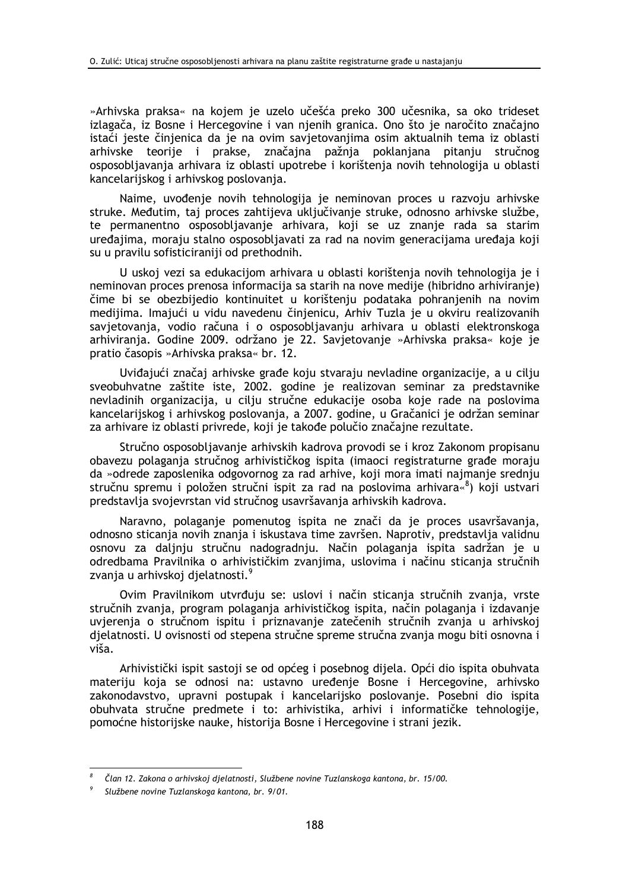»Arhivska praksa« na kojem je uzelo učešća preko 300 učesnika, sa oko trideset izlagača, iz Bosne i Hercegovine i van njenih granica. Ono što je naročito značajno istaći jeste činjenica da je na ovim savjetovanjima osim aktualnih tema iz oblasti arhivske teorije i prakse, značajna pažnja poklanjana pitanju stručnog osposobljavanja arhivara iz oblasti upotrebe i korištenja novih tehnologija u oblasti kancelarijskog i arhivskog poslovanja.

Naime, uvođenje novih tehnologija je neminovan proces u razvoju arhivske struke. Međutim, taj proces zahtijeva uključivanje struke, odnosno arhivske službe, te permanentno osposobljavanje arhivara, koji se uz znanje rada sa starim uređajima, moraju stalno osposobljavati za rad na novim generacijama uređaja koji su u pravilu sofisticiraniji od prethodnih.

U uskoj vezi sa edukacijom arhivara u oblasti korištenja novih tehnologija je i neminovan proces prenosa informacija sa starih na nove medije (hibridno arhiviranje) čime bi se obezbijedio kontinuitet u korištenju podataka pohranjenih na novim medijima. Imajući u vidu navedenu činjenicu, Arhiv Tuzla je u okviru realizovanih savietovania, vodio računa i o osposobljavanju arhivara u oblasti elektronskoga arhiviranja. Godine 2009. održano je 22. Savjetovanje »Arhivska praksa« koje je pratio časopis »Arhivska praksa« br. 12.

Uviđajući značaj arhivske građe koju stvaraju nevladine organizacije, a u cilju sveobuhvatne zaštite iste, 2002. godine je realizovan seminar za predstavnike nevladinih organizacija, u cilju stručne edukacije osoba koje rade na poslovima kancelarijskog i arhivskog poslovanja, a 2007. godine, u Gračanici je održan seminar za arhivare iz oblasti privrede, koji je takođe polučio značajne rezultate.

Stručno osposobljavanje arhivskih kadrova provodi se i kroz Zakonom propisanu obavezu polagania stručnog arhivističkog ispita (imaoci registraturne građe moraju da »odrede zaposlenika odgovornog za rad arhive, koji mora imati najmanje srednju stručnu spremu i položen stručni ispit za rad na poslovima arhivara«<sup>8</sup>) koji ustvari predstavlja svojevrstan vid stručnog usavršavanja arhivskih kadrova.

Naravno, polaganje pomenutog ispita ne znači da je proces usavršavanja, odnosno sticanja novih znanja i iskustava time završen. Naprotiv, predstavlja validnu osnovu za daljnju stručnu nadogradnju. Način polaganja ispita sadržan je u odredbama Pravilnika o arhivističkim zvanjima, uslovima i načinu sticanja stručnih zvanja u arhivskoj djelatnosti.<sup>9</sup>

Ovim Pravilnikom utvrđuju se: uslovi i način sticanja stručnih zvanja, vrste stručnih zvanja, program polaganja arhivističkog ispita, način polaganja i izdavanje uvjerenja o stručnom ispitu i priznavanje zatečenih stručnih zvanja u arhivskoj djelatnosti. U ovisnosti od stepena stručne spreme stručna zvanja mogu biti osnovna i viša.

Arhivistički ispit sastoji se od općeg i posebnog dijela. Opći dio ispita obuhvata materiju koja se odnosi na: ustavno uređenje Bosne i Hercegovine, arhivsko zakonodavstvo, upravni postupak i kancelarijsko poslovanje. Posebni dio ispita obuhvata stručne predmete i to: arhivistika, arhivi i informatičke tehnologije, pomoćne historijske nauke, historija Bosne i Hercegovine i strani jezik.

Član 12. Zakona o arhivskoj djelatnosti, Službene novine Tuzlanskoga kantona, br. 15/00.

Službene novine Tuzlanskoga kantona, br. 9/01.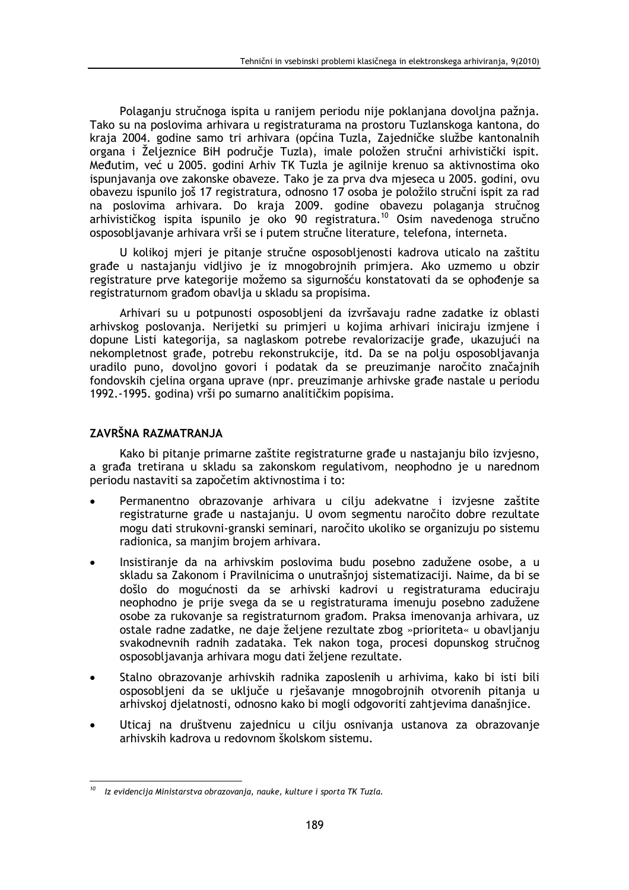Polaganju stručnoga ispita u ranijem periodu nije poklanjana dovoljna pažnja. Tako su na poslovima arhivara u registraturama na prostoru Tuzlanskoga kantona, do kraja 2004. godine samo tri arhivara (općina Tuzla, Zajedničke službe kantonalnih organa i Željeznice BiH područje Tuzla), imale položen stručni arhivistički ispit. Međutim, već u 2005. godini Arhiv TK Tuzla je agilnije krenuo sa aktivnostima oko ispunjavanja ove zakonske obaveze. Tako je za prva dva mjeseca u 2005. godini, ovu obavezu ispunilo još 17 registratura, odnosno 17 osoba je položilo stručni ispit za rad na poslovima arhivara. Do kraja 2009. godine obavezu polaganja stručnog arhivističkog ispita ispunilo je oko 90 registratura.<sup>10</sup> Osim navedenoga stručno osposobljavanje arhivara vrši se i putem stručne literature, telefona, interneta.

U kolikoj mjeri je pitanje stručne osposobljenosti kadrova uticalo na zaštitu građe u nastajanju vidljivo je iz mnogobrojnih primjera. Ako uzmemo u obzir registrature prve kategorije možemo sa sigurnošću konstatovati da se ophođenje sa registraturnom građom obavlja u skladu sa propisima.

Arhivari su u potpunosti osposobljeni da izvršavaju radne zadatke iz oblasti arhivskog poslovanja. Nerijetki su primjeri u kojima arhivari iniciraju izmjene i dopune Listi kategorija, sa naglaskom potrebe revalorizacije građe, ukazujući na nekompletnost građe, potrebu rekonstrukcije, itd. Da se na polju osposobljavanja uradilo puno, dovoljno govori i podatak da se preuzimanje naročito značajnih fondovskih cjelina organa uprave (npr. preuzimanje arhivske građe nastale u periodu 1992.-1995. godina) vrši po sumarno analitičkim popisima.

# ZAVRŠNA RAZMATRANJA

Kako bi pitanje primarne zaštite registraturne građe u nastajanju bilo izvjesno, a građa tretirana u skladu sa zakonskom regulativom, neophodno je u narednom periodu nastaviti sa započetim aktivnostima i to:

- Permanentno obrazovanie arhivara u ciliu adekvatne i izviesne zaštite registraturne građe u nastajanju. U ovom segmentu naročito dobre rezultate mogu dati strukovni-granski seminari, naročito ukoliko se organizuju po sistemu radionica, sa manjim brojem arhivara.
- Insistiranie da na arhivskim poslovima budu posebno zadužene osobe, a u skladu sa Zakonom i Pravilnicima o unutrašnioj sistematizaciji. Najme, da bi se došlo do mogućnosti da se arhivski kadrovi u registraturama educiraju neophodno je prije svega da se u registraturama imenuju posebno zadužene osobe za rukovanje sa registraturnom građom. Praksa imenovanja arhivara, uz ostale radne zadatke, ne daje željene rezultate zbog »prioriteta« u obavljanju svakodnevnih radnih zadataka. Tek nakon toga, procesi dopunskog stručnog osposobliavania arhivara mogu dati željene rezultate.
- Stalno obrazovanje arhivskih radnika zaposlenih u arhivima, kako bi isti bili osposobljeni da se uključe u rješavanje mnogobrojnih otvorenih pitanja u arhivskoj djelatnosti, odnosno kako bi mogli odgovoriti zahtjevima današnjice.
- Uticaj na društvenu zajednicu u cilju osnivanja ustanova za obrazovanje arhivskih kadrova u redovnom školskom sistemu.

Iz evidencija Ministarstva obrazovanja, nauke, kulture i sporta TK Tuzla.